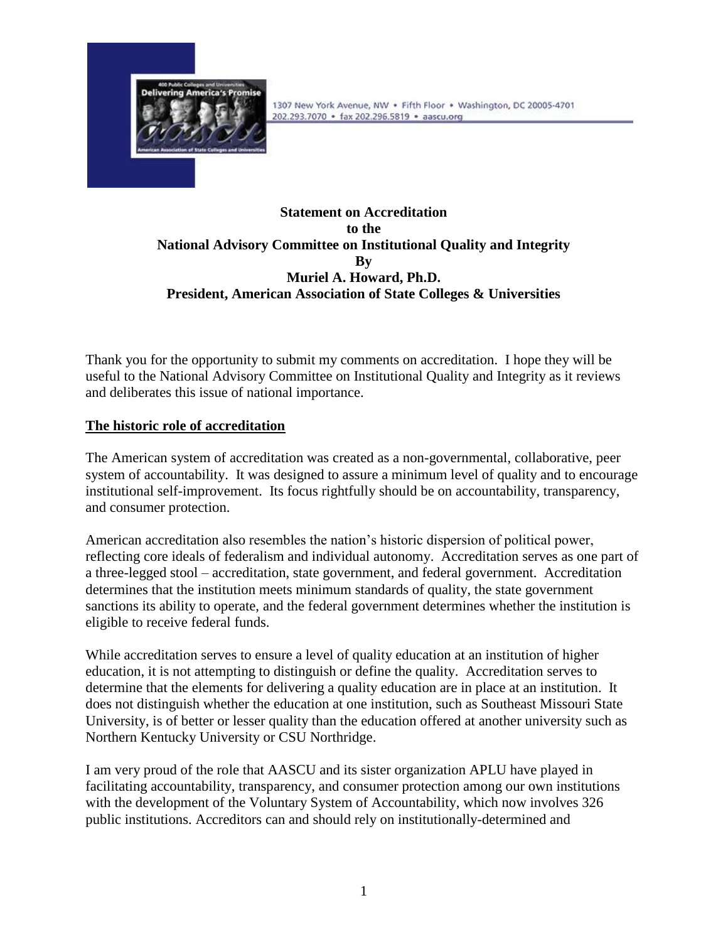

## **Statement on Accreditation to the National Advisory Committee on Institutional Quality and Integrity By Muriel A. Howard, Ph.D. President, American Association of State Colleges & Universities**

Thank you for the opportunity to submit my comments on accreditation. I hope they will be useful to the National Advisory Committee on Institutional Quality and Integrity as it reviews and deliberates this issue of national importance.

# **The historic role of accreditation**

The American system of accreditation was created as a non-governmental, collaborative, peer system of accountability. It was designed to assure a minimum level of quality and to encourage institutional self-improvement. Its focus rightfully should be on accountability, transparency, and consumer protection.

American accreditation also resembles the nation's historic dispersion of political power, reflecting core ideals of federalism and individual autonomy. Accreditation serves as one part of a three-legged stool – accreditation, state government, and federal government. Accreditation determines that the institution meets minimum standards of quality, the state government sanctions its ability to operate, and the federal government determines whether the institution is eligible to receive federal funds.

While accreditation serves to ensure a level of quality education at an institution of higher education, it is not attempting to distinguish or define the quality. Accreditation serves to determine that the elements for delivering a quality education are in place at an institution. It does not distinguish whether the education at one institution, such as Southeast Missouri State University, is of better or lesser quality than the education offered at another university such as Northern Kentucky University or CSU Northridge.

I am very proud of the role that AASCU and its sister organization APLU have played in facilitating accountability, transparency, and consumer protection among our own institutions with the development of the Voluntary System of Accountability, which now involves 326 public institutions. Accreditors can and should rely on institutionally-determined and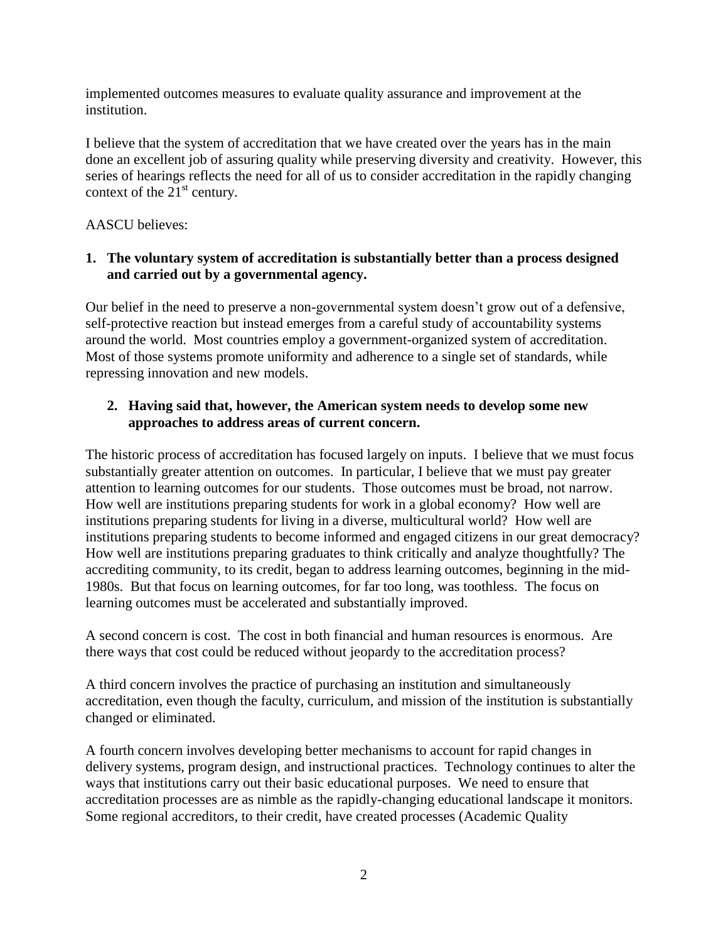implemented outcomes measures to evaluate quality assurance and improvement at the institution.

I believe that the system of accreditation that we have created over the years has in the main done an excellent job of assuring quality while preserving diversity and creativity. However, this series of hearings reflects the need for all of us to consider accreditation in the rapidly changing context of the  $21<sup>st</sup>$  century.

## AASCU believes:

### **1. The voluntary system of accreditation is substantially better than a process designed and carried out by a governmental agency.**

Our belief in the need to preserve a non-governmental system doesn't grow out of a defensive, self-protective reaction but instead emerges from a careful study of accountability systems around the world. Most countries employ a government-organized system of accreditation. Most of those systems promote uniformity and adherence to a single set of standards, while repressing innovation and new models.

## **2. Having said that, however, the American system needs to develop some new approaches to address areas of current concern.**

The historic process of accreditation has focused largely on inputs. I believe that we must focus substantially greater attention on outcomes. In particular, I believe that we must pay greater attention to learning outcomes for our students. Those outcomes must be broad, not narrow. How well are institutions preparing students for work in a global economy? How well are institutions preparing students for living in a diverse, multicultural world? How well are institutions preparing students to become informed and engaged citizens in our great democracy? How well are institutions preparing graduates to think critically and analyze thoughtfully? The accrediting community, to its credit, began to address learning outcomes, beginning in the mid-1980s. But that focus on learning outcomes, for far too long, was toothless. The focus on learning outcomes must be accelerated and substantially improved.

A second concern is cost. The cost in both financial and human resources is enormous. Are there ways that cost could be reduced without jeopardy to the accreditation process?

A third concern involves the practice of purchasing an institution and simultaneously accreditation, even though the faculty, curriculum, and mission of the institution is substantially changed or eliminated.

A fourth concern involves developing better mechanisms to account for rapid changes in delivery systems, program design, and instructional practices. Technology continues to alter the ways that institutions carry out their basic educational purposes. We need to ensure that accreditation processes are as nimble as the rapidly-changing educational landscape it monitors. Some regional accreditors, to their credit, have created processes (Academic Quality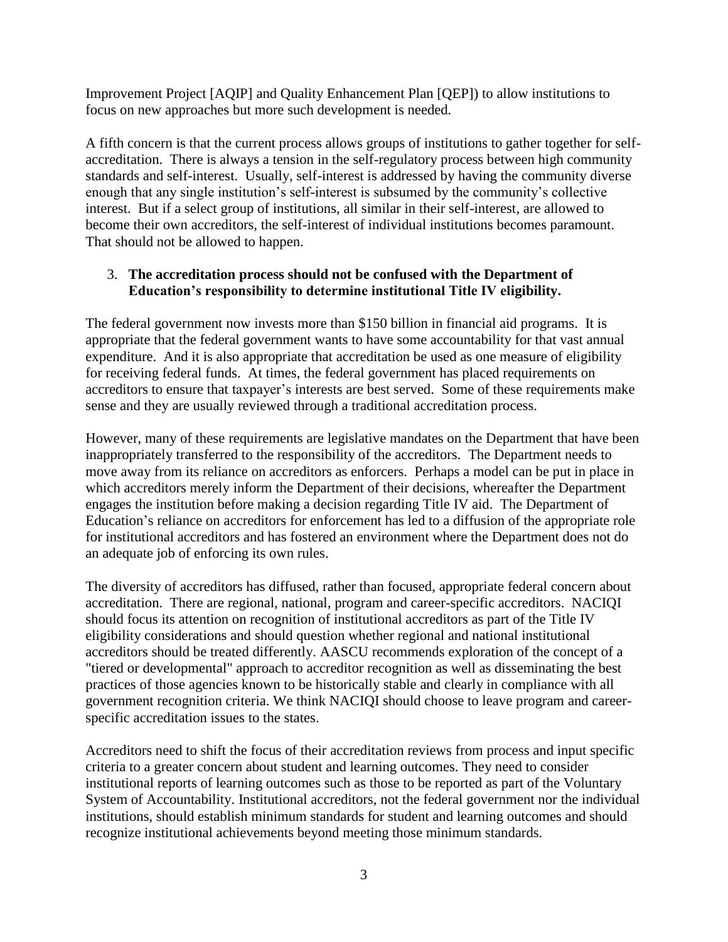Improvement Project [AQIP] and Quality Enhancement Plan [QEP]) to allow institutions to focus on new approaches but more such development is needed.

A fifth concern is that the current process allows groups of institutions to gather together for selfaccreditation. There is always a tension in the self-regulatory process between high community standards and self-interest. Usually, self-interest is addressed by having the community diverse enough that any single institution's self-interest is subsumed by the community's collective interest. But if a select group of institutions, all similar in their self-interest, are allowed to become their own accreditors, the self-interest of individual institutions becomes paramount. That should not be allowed to happen.

### 3. **The accreditation process should not be confused with the Department of Education's responsibility to determine institutional Title IV eligibility.**

The federal government now invests more than \$150 billion in financial aid programs. It is appropriate that the federal government wants to have some accountability for that vast annual expenditure. And it is also appropriate that accreditation be used as one measure of eligibility for receiving federal funds. At times, the federal government has placed requirements on accreditors to ensure that taxpayer's interests are best served. Some of these requirements make sense and they are usually reviewed through a traditional accreditation process.

However, many of these requirements are legislative mandates on the Department that have been inappropriately transferred to the responsibility of the accreditors. The Department needs to move away from its reliance on accreditors as enforcers. Perhaps a model can be put in place in which accreditors merely inform the Department of their decisions, whereafter the Department engages the institution before making a decision regarding Title IV aid. The Department of Education's reliance on accreditors for enforcement has led to a diffusion of the appropriate role for institutional accreditors and has fostered an environment where the Department does not do an adequate job of enforcing its own rules.

The diversity of accreditors has diffused, rather than focused, appropriate federal concern about accreditation. There are regional, national, program and career-specific accreditors. NACIQI should focus its attention on recognition of institutional accreditors as part of the Title IV eligibility considerations and should question whether regional and national institutional accreditors should be treated differently. AASCU recommends exploration of the concept of a "tiered or developmental" approach to accreditor recognition as well as disseminating the best practices of those agencies known to be historically stable and clearly in compliance with all government recognition criteria. We think NACIQI should choose to leave program and careerspecific accreditation issues to the states.

Accreditors need to shift the focus of their accreditation reviews from process and input specific criteria to a greater concern about student and learning outcomes. They need to consider institutional reports of learning outcomes such as those to be reported as part of the Voluntary System of Accountability. Institutional accreditors, not the federal government nor the individual institutions, should establish minimum standards for student and learning outcomes and should recognize institutional achievements beyond meeting those minimum standards.